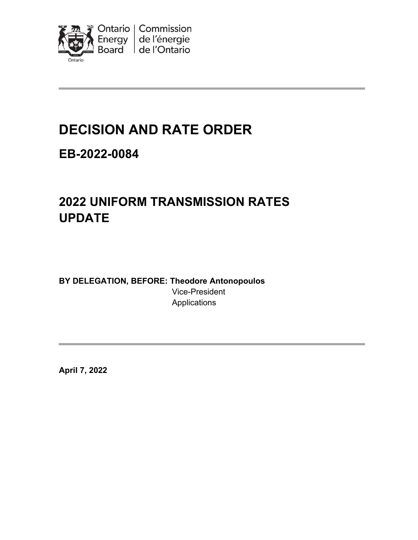

# **DECISION AND RATE ORDER**

# **EB-2022-0084**

# **2022 UNIFORM TRANSMISSION RATES UPDATE**

**BY DELEGATION, BEFORE: Theodore Antonopoulos** Vice-President Applications

**April 7, 2022**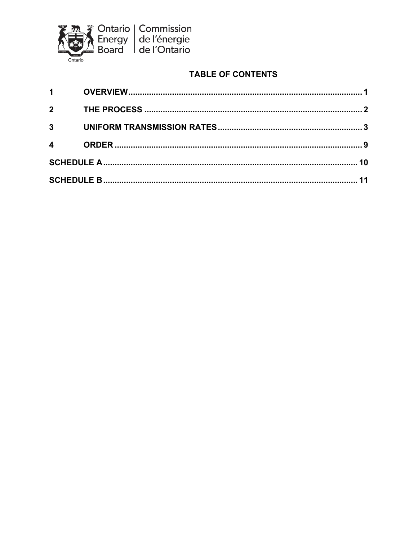

## **TABLE OF CONTENTS**

| $1 \quad \blacksquare$ |  |  |  |
|------------------------|--|--|--|
| $\overline{2}$         |  |  |  |
| $3^{\circ}$            |  |  |  |
| $\overline{4}$         |  |  |  |
|                        |  |  |  |
|                        |  |  |  |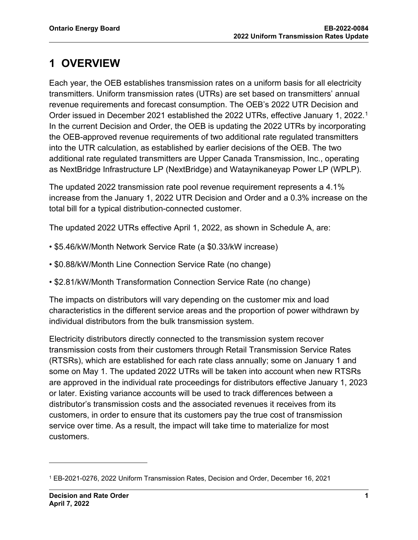# <span id="page-2-0"></span>**1 OVERVIEW**

Each year, the OEB establishes transmission rates on a uniform basis for all electricity transmitters. Uniform transmission rates (UTRs) are set based on transmitters' annual revenue requirements and forecast consumption. The OEB's 2022 UTR Decision and Order issued in December 2021 established the 2022 UTRs, effective January 1, 2022. [1](#page-2-1) In the current Decision and Order, the OEB is updating the 2022 UTRs by incorporating the OEB-approved revenue requirements of two additional rate regulated transmitters into the UTR calculation, as established by earlier decisions of the OEB. The two additional rate regulated transmitters are Upper Canada Transmission, Inc., operating as NextBridge Infrastructure LP (NextBridge) and Wataynikaneyap Power LP (WPLP).

The updated 2022 transmission rate pool revenue requirement represents a 4.1% increase from the January 1, 2022 UTR Decision and Order and a 0.3% increase on the total bill for a typical distribution-connected customer.

The updated 2022 UTRs effective April 1, 2022, as shown in Schedule A, are:

- \$5.46/kW/Month Network Service Rate (a \$0.33/kW increase)
- \$0.88/kW/Month Line Connection Service Rate (no change)
- \$2.81/kW/Month Transformation Connection Service Rate (no change)

The impacts on distributors will vary depending on the customer mix and load characteristics in the different service areas and the proportion of power withdrawn by individual distributors from the bulk transmission system.

Electricity distributors directly connected to the transmission system recover transmission costs from their customers through Retail Transmission Service Rates (RTSRs), which are established for each rate class annually; some on January 1 and some on May 1. The updated 2022 UTRs will be taken into account when new RTSRs are approved in the individual rate proceedings for distributors effective January 1, 2023 or later. Existing variance accounts will be used to track differences between a distributor's transmission costs and the associated revenues it receives from its customers, in order to ensure that its customers pay the true cost of transmission service over time. As a result, the impact will take time to materialize for most customers.

<span id="page-2-1"></span><sup>1</sup> EB-2021-0276, 2022 Uniform Transmission Rates, Decision and Order, December 16, 2021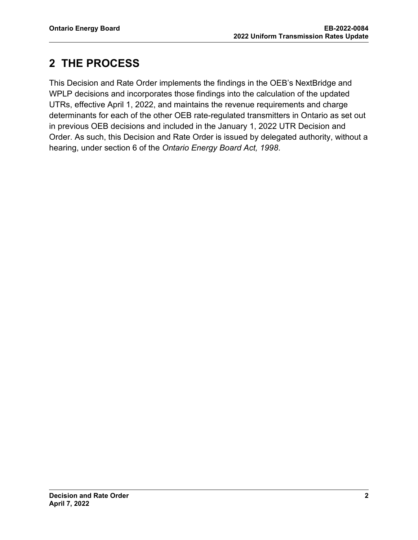# <span id="page-3-0"></span>**2 THE PROCESS**

This Decision and Rate Order implements the findings in the OEB's NextBridge and WPLP decisions and incorporates those findings into the calculation of the updated UTRs, effective April 1, 2022, and maintains the revenue requirements and charge determinants for each of the other OEB rate-regulated transmitters in Ontario as set out in previous OEB decisions and included in the January 1, 2022 UTR Decision and Order. As such, this Decision and Rate Order is issued by delegated authority, without a hearing, under section 6 of the *Ontario Energy Board Act, 1998*.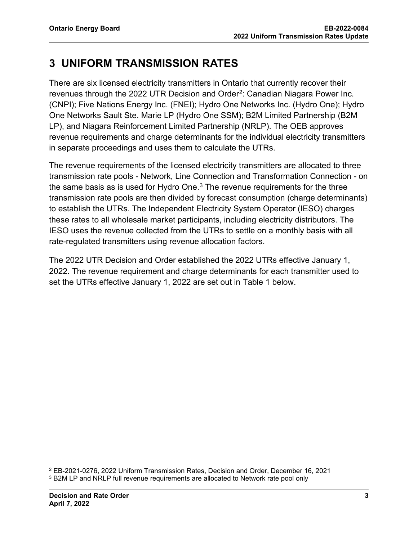# <span id="page-4-0"></span>**3 UNIFORM TRANSMISSION RATES**

There are six licensed electricity transmitters in Ontario that currently recover their revenues through the [2](#page-4-1)022 UTR Decision and Order<sup>2</sup>: Canadian Niagara Power Inc. (CNPI); Five Nations Energy Inc. (FNEI); Hydro One Networks Inc. (Hydro One); Hydro One Networks Sault Ste. Marie LP (Hydro One SSM); B2M Limited Partnership (B2M LP), and Niagara Reinforcement Limited Partnership (NRLP). The OEB approves revenue requirements and charge determinants for the individual electricity transmitters in separate proceedings and uses them to calculate the UTRs.

The revenue requirements of the licensed electricity transmitters are allocated to three transmission rate pools - Network, Line Connection and Transformation Connection - on the same basis as is used for Hydro One. $3$  The revenue requirements for the three transmission rate pools are then divided by forecast consumption (charge determinants) to establish the UTRs. The Independent Electricity System Operator (IESO) charges these rates to all wholesale market participants, including electricity distributors. The IESO uses the revenue collected from the UTRs to settle on a monthly basis with all rate-regulated transmitters using revenue allocation factors.

The 2022 UTR Decision and Order established the 2022 UTRs effective January 1, 2022. The revenue requirement and charge determinants for each transmitter used to set the UTRs effective January 1, 2022 are set out in Table 1 below.

<span id="page-4-2"></span><span id="page-4-1"></span><sup>2</sup> EB-2021-0276, 2022 Uniform Transmission Rates, Decision and Order, December 16, 2021 <sup>3</sup> B2M LP and NRLP full revenue requirements are allocated to Network rate pool only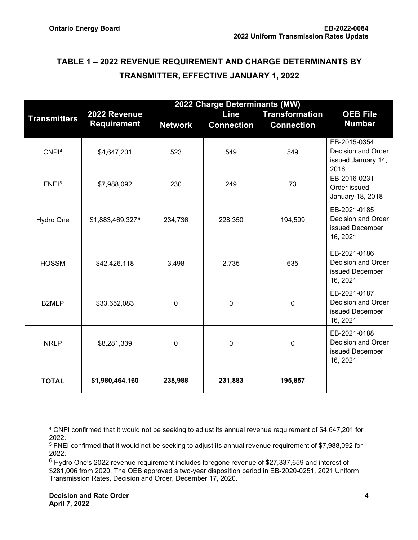## **TABLE 1 – 2022 REVENUE REQUIREMENT AND CHARGE DETERMINANTS BY TRANSMITTER, EFFECTIVE JANUARY 1, 2022**

|                     | 2022 Charge Determinants (MW) |                |                   |                       |                                                                   |
|---------------------|-------------------------------|----------------|-------------------|-----------------------|-------------------------------------------------------------------|
| <b>Transmitters</b> | 2022 Revenue                  |                | Line              | <b>Transformation</b> | <b>OEB File</b>                                                   |
|                     | <b>Requirement</b>            | <b>Network</b> | <b>Connection</b> | <b>Connection</b>     | <b>Number</b>                                                     |
| CNPI <sup>4</sup>   | \$4,647,201                   | 523            | 549               | 549                   | EB-2015-0354<br>Decision and Order<br>issued January 14,<br>2016  |
| FNE <sup>5</sup>    | \$7,988,092                   | 230            | 249               | 73                    | EB-2016-0231<br>Order issued<br>January 18, 2018                  |
| Hydro One           | \$1,883,469,3276              | 234,736        | 228,350           | 194,599               | EB-2021-0185<br>Decision and Order<br>issued December<br>16, 2021 |
| <b>HOSSM</b>        | \$42,426,118                  | 3,498          | 2,735             | 635                   | EB-2021-0186<br>Decision and Order<br>issued December<br>16, 2021 |
| B2MLP               | \$33,652,083                  | 0              | $\mathbf 0$       | $\mathbf 0$           | EB-2021-0187<br>Decision and Order<br>issued December<br>16, 2021 |
| <b>NRLP</b>         | \$8,281,339                   | 0              | $\mathbf 0$       | $\mathbf 0$           | EB-2021-0188<br>Decision and Order<br>issued December<br>16, 2021 |
| <b>TOTAL</b>        | \$1,980,464,160               | 238,988        | 231,883           | 195,857               |                                                                   |

<span id="page-5-0"></span><sup>4</sup> CNPI confirmed that it would not be seeking to adjust its annual revenue requirement of \$4,647,201 for 2022. 5 FNEI confirmed that it would not be seeking to adjust its annual revenue requirement of \$7,988,092 for

<span id="page-5-1"></span><sup>2022.</sup>

<span id="page-5-2"></span> $6$  Hydro One's 2022 revenue requirement includes foregone revenue of \$27,337,659 and interest of \$281,006 from 2020. The OEB approved a two-year disposition period in EB-2020-0251, 2021 Uniform Transmission Rates, Decision and Order, December 17, 2020.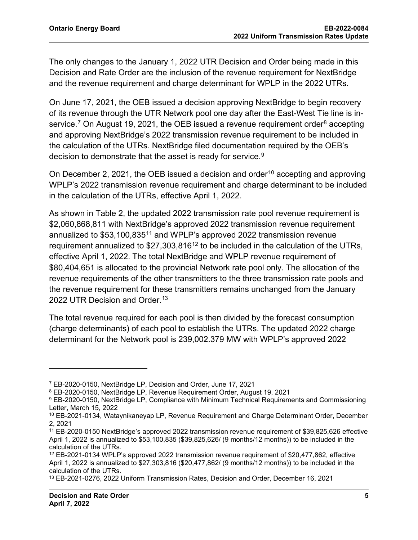The only changes to the January 1, 2022 UTR Decision and Order being made in this Decision and Rate Order are the inclusion of the revenue requirement for NextBridge and the revenue requirement and charge determinant for WPLP in the 2022 UTRs.

On June 17, 2021, the OEB issued a decision approving NextBridge to begin recovery of its revenue through the UTR Network pool one day after the East-West Tie line is in-service.<sup>[7](#page-6-0)</sup> On August 19, 2021, the OEB issued a revenue requirement order<sup>8</sup> accepting and approving NextBridge's 2022 transmission revenue requirement to be included in the calculation of the UTRs. NextBridge filed documentation required by the OEB's decision to demonstrate that the asset is ready for service.<sup>[9](#page-6-2)</sup>

On December 2, 2021, the OEB issued a decision and order<sup>[10](#page-6-3)</sup> accepting and approving WPLP's 2022 transmission revenue requirement and charge determinant to be included in the calculation of the UTRs, effective April 1, 2022.

As shown in Table 2, the updated 2022 transmission rate pool revenue requirement is \$2,060,868,811 with NextBridge's approved 2022 transmission revenue requirement annualized to \$53,100,835[11](#page-6-4) and WPLP's approved 2022 transmission revenue requirement annualized to  $$27,303,816^{12}$  $$27,303,816^{12}$  $$27,303,816^{12}$  to be included in the calculation of the UTRs, effective April 1, 2022. The total NextBridge and WPLP revenue requirement of \$80,404,651 is allocated to the provincial Network rate pool only. The allocation of the revenue requirements of the other transmitters to the three transmission rate pools and the revenue requirement for these transmitters remains unchanged from the January 2022 UTR Decision and Order. [13](#page-6-6)

The total revenue required for each pool is then divided by the forecast consumption (charge determinants) of each pool to establish the UTRs. The updated 2022 charge determinant for the Network pool is 239,002.379 MW with WPLP's approved 2022

<span id="page-6-0"></span><sup>7</sup> EB-2020-0150, NextBridge LP, Decision and Order, June 17, 2021

<span id="page-6-1"></span><sup>8</sup> EB-2020-0150, NextBridge LP, Revenue Requirement Order, August 19, 2021

<span id="page-6-2"></span><sup>9</sup> EB-2020-0150, NextBridge LP, Compliance with Minimum Technical Requirements and Commissioning Letter, March 15, 2022

<span id="page-6-3"></span><sup>10</sup> EB-2021-0134, Wataynikaneyap LP, Revenue Requirement and Charge Determinant Order, December 2, 2021

<span id="page-6-4"></span><sup>11</sup> EB-2020-0150 NextBridge's approved 2022 transmission revenue requirement of \$39,825,626 effective April 1, 2022 is annualized to \$53,100,835 (\$39,825,626/ (9 months/12 months)) to be included in the calculation of the UTRs.

<span id="page-6-5"></span><sup>12</sup> EB-2021-0134 WPLP's approved 2022 transmission revenue requirement of \$20,477,862, effective April 1, 2022 is annualized to \$27,303,816 (\$20,477,862/ (9 months/12 months)) to be included in the calculation of the UTRs.

<span id="page-6-6"></span><sup>13</sup> EB-2021-0276, 2022 Uniform Transmission Rates, Decision and Order, December 16, 2021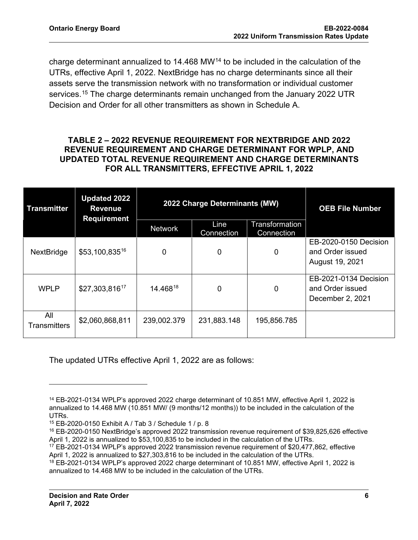charge determinant annualized to 14.468 MW[14](#page-7-0) to be included in the calculation of the UTRs, effective April 1, 2022. NextBridge has no charge determinants since all their assets serve the transmission network with no transformation or individual customer services.<sup>[15](#page-7-1)</sup> The charge determinants remain unchanged from the January 2022 UTR Decision and Order for all other transmitters as shown in Schedule A.

## **TABLE 2 – 2022 REVENUE REQUIREMENT FOR NEXTBRIDGE AND 2022 REVENUE REQUIREMENT AND CHARGE DETERMINANT FOR WPLP, AND UPDATED TOTAL REVENUE REQUIREMENT AND CHARGE DETERMINANTS FOR ALL TRANSMITTERS, EFFECTIVE APRIL 1, 2022**

| <b>Transmitter</b>         | <b>Updated 2022</b><br><b>Revenue</b><br><b>Requirement</b> | 2022 Charge Determinants (MW) |                    |                              | <b>OEB File Number</b>                                        |
|----------------------------|-------------------------------------------------------------|-------------------------------|--------------------|------------------------------|---------------------------------------------------------------|
|                            |                                                             | <b>Network</b>                | Line<br>Connection | Transformation<br>Connection |                                                               |
| NextBridge                 | $$53,100,835^{16}$                                          | 0                             | 0                  | 0                            | EB-2020-0150 Decision<br>and Order issued<br>August 19, 2021  |
| <b>WPLP</b>                | \$27,303,81617                                              | 14.46818                      | 0                  | $\Omega$                     | EB-2021-0134 Decision<br>and Order issued<br>December 2, 2021 |
| All<br><b>Transmitters</b> | \$2,060,868,811                                             | 239,002.379                   | 231,883.148        | 195,856.785                  |                                                               |

The updated UTRs effective April 1, 2022 are as follows:

<span id="page-7-0"></span><sup>14</sup> EB-2021-0134 WPLP's approved 2022 charge determinant of 10.851 MW, effective April 1, 2022 is annualized to 14.468 MW (10.851 MW/ (9 months/12 months)) to be included in the calculation of the UTRs.

<sup>15</sup> EB-2020-0150 Exhibit A / Tab 3 / Schedule 1 / p. 8

<span id="page-7-2"></span><span id="page-7-1"></span><sup>16</sup> EB-2020-0150 NextBridge's approved 2022 transmission revenue requirement of \$39,825,626 effective April 1, 2022 is annualized to \$53,100,835 to be included in the calculation of the UTRs.

<span id="page-7-3"></span><sup>&</sup>lt;sup>17</sup> EB-2021-0134 WPLP's approved 2022 transmission revenue requirement of \$20,477,862, effective April 1, 2022 is annualized to \$27,303,816 to be included in the calculation of the UTRs.

<span id="page-7-4"></span><sup>&</sup>lt;sup>18</sup> EB-2021-0134 WPLP's approved 2022 charge determinant of 10.851 MW, effective April 1, 2022 is annualized to 14.468 MW to be included in the calculation of the UTRs.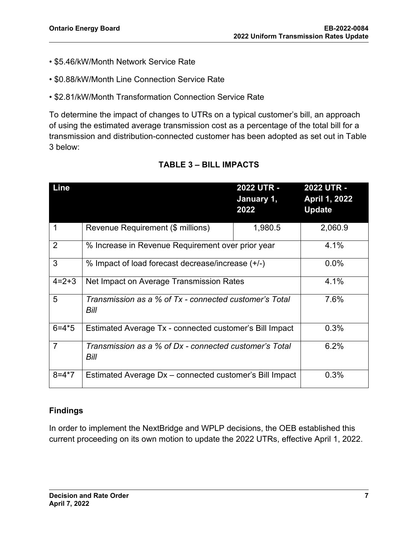- \$5.46/kW/Month Network Service Rate
- \$0.88/kW/Month Line Connection Service Rate
- \$2.81/kW/Month Transformation Connection Service Rate

To determine the impact of changes to UTRs on a typical customer's bill, an approach of using the estimated average transmission cost as a percentage of the total bill for a transmission and distribution-connected customer has been adopted as set out in Table 3 below:

| Line           |                                                                | 2022 UTR -<br>January 1,<br>2022 | <b>2022 UTR -</b><br>April 1, 2022<br><b>Update</b> |
|----------------|----------------------------------------------------------------|----------------------------------|-----------------------------------------------------|
| 1              | Revenue Requirement (\$ millions)                              | 1,980.5                          | 2,060.9                                             |
| 2              | % Increase in Revenue Requirement over prior year              | 4.1%                             |                                                     |
| 3              | % Impact of load forecast decrease/increase (+/-)              | 0.0%                             |                                                     |
| $4=2+3$        | Net Impact on Average Transmission Rates                       | 4.1%                             |                                                     |
| 5              | Transmission as a % of Tx - connected customer's Total<br>Bill | 7.6%                             |                                                     |
| $6 = 4*5$      | Estimated Average Tx - connected customer's Bill Impact        | 0.3%                             |                                                     |
| $\overline{7}$ | Transmission as a % of Dx - connected customer's Total<br>Bill | 6.2%                             |                                                     |
| $8 = 4*7$      | Estimated Average Dx - connected customer's Bill Impact        |                                  | 0.3%                                                |

## **TABLE 3 – BILL IMPACTS**

## **Findings**

In order to implement the NextBridge and WPLP decisions, the OEB established this current proceeding on its own motion to update the 2022 UTRs, effective April 1, 2022.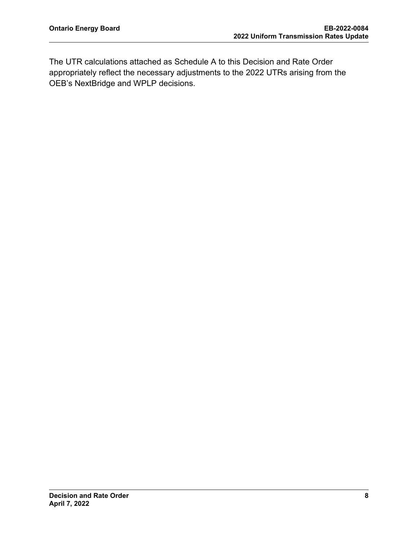The UTR calculations attached as Schedule A to this Decision and Rate Order appropriately reflect the necessary adjustments to the 2022 UTRs arising from the OEB's NextBridge and WPLP decisions.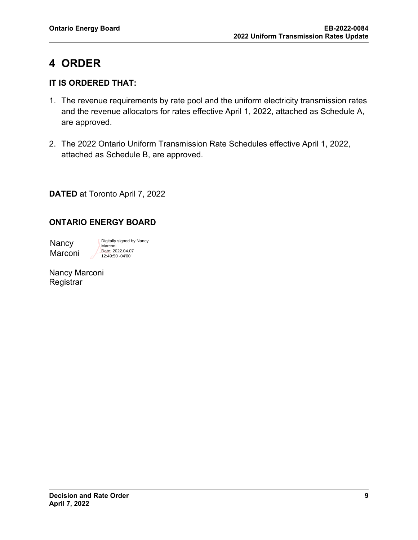# <span id="page-10-0"></span>**4 ORDER**

## **IT IS ORDERED THAT:**

- 1. The revenue requirements by rate pool and the uniform electricity transmission rates and the revenue allocators for rates effective April 1, 2022, attached as Schedule A, are approved.
- 2. The 2022 Ontario Uniform Transmission Rate Schedules effective April 1, 2022, attached as Schedule B, are approved.

**DATED** at Toronto April 7, 2022

## **ONTARIO ENERGY BOARD**

Nancy Marconi

Digitally signed by Nancy **Marconi** Date: 2022.04.07 12:49:50 -04'00'

Nancy Marconi **Registrar**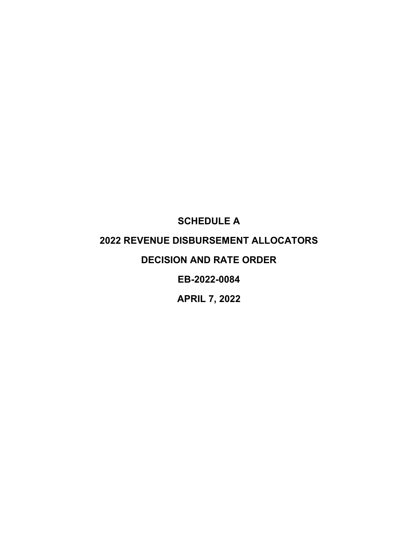# <span id="page-11-0"></span>**SCHEDULE A 2022 REVENUE DISBURSEMENT ALLOCATORS DECISION AND RATE ORDER EB-2022-0084**

**APRIL 7, 2022**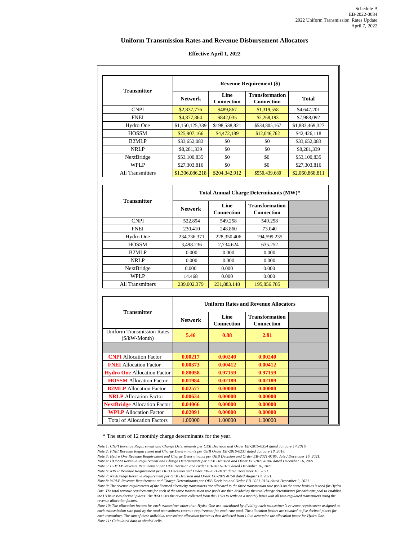#### **Uniform Transmission Rates and Revenue Disbursement Allocators**

#### **Effective April 1, 2022**

| <b>Transmitter</b>      |                 | <b>Revenue Requirement (\$)</b> |                                            |                 |  |
|-------------------------|-----------------|---------------------------------|--------------------------------------------|-----------------|--|
|                         | <b>Network</b>  | Line<br><b>Connection</b>       | <b>Transformation</b><br><b>Connection</b> | <b>Total</b>    |  |
| <b>CNPI</b>             | \$2,837,776     | \$489,867                       | \$1,319,558                                | \$4,647,201     |  |
| <b>FNEI</b>             | \$4,877,864     | \$842,035                       | \$2,268,193                                | \$7,988,092     |  |
| Hydro One               | \$1,150,125,339 | \$198,538,821                   | \$534,805,167                              | \$1,883,469,327 |  |
| <b>HOSSM</b>            | \$25,907,166    | \$4,472,189                     | \$12,046,762                               | \$42,426,118    |  |
| B <sub>2</sub> MLP      | \$33,652,083    | \$0                             | \$0                                        | \$33,652,083    |  |
| <b>NRLP</b>             | \$8,281,339     | \$0                             | \$0                                        | \$8,281,339     |  |
| NextBridge              | \$53,100,835    | \$0                             | \$0                                        | \$53,100,835    |  |
| WPLP                    | \$27,303,816    | \$0                             | \$0                                        | \$27,303,816    |  |
| <b>All Transmitters</b> | \$1,306,086,218 | \$204,342,912                   | \$550,439,680                              | \$2,060,868,811 |  |

|                         | Total Annual Charge Determinants (MW)* |                           |                                            |  |
|-------------------------|----------------------------------------|---------------------------|--------------------------------------------|--|
| <b>Transmitter</b>      | <b>Network</b>                         | Line<br><b>Connection</b> | <b>Transformation</b><br><b>Connection</b> |  |
| <b>CNPI</b>             | 522.894                                | 549.258                   | 549.258                                    |  |
| <b>FNEI</b>             | 230.410                                | 248.860                   | 73.040                                     |  |
| Hydro One               | 234,736.371                            | 228,350.406               | 194,599.235                                |  |
| <b>HOSSM</b>            | 3,498.236                              | 2.734.624                 | 635.252                                    |  |
| B <sub>2</sub> MLP      | 0.000                                  | 0.000                     | 0.000                                      |  |
| NRLP                    | 0.000                                  | 0.000                     | 0.000                                      |  |
| NextBridge              | 0.000                                  | 0.000                     | 0.000                                      |  |
| WPLP                    | 14.468                                 | 0.000                     | 0.000                                      |  |
| <b>All Transmitters</b> | 239,002.379                            | 231,883.148               | 195,856.785                                |  |

|                                                                       | <b>Uniform Rates and Revenue Allocators</b> |                           |                                            |  |
|-----------------------------------------------------------------------|---------------------------------------------|---------------------------|--------------------------------------------|--|
| <b>Transmitter</b>                                                    | <b>Network</b>                              | Line<br><b>Connection</b> | <b>Transformation</b><br><b>Connection</b> |  |
| <b>Uniform Transmission Rates</b><br>$(\frac{1}{2}kW - \text{Month})$ | 5.46                                        | 0.88                      | 2.81                                       |  |
|                                                                       |                                             |                           |                                            |  |
| <b>CNPI</b> Allocation Factor                                         | 0.00217                                     | 0.00240                   | 0.00240                                    |  |
| <b>FNEI</b> Allocation Factor                                         | 0.00373                                     | 0.00412                   | 0.00412                                    |  |
| <b>Hydro One</b> Allocation Factor                                    | 0.88058                                     | 0.97159                   | 0.97159                                    |  |
| <b>HOSSM</b> Allocation Factor                                        | 0.01984                                     | 0.02189                   | 0.02189                                    |  |
| <b>B2MLP</b> Allocation Factor                                        | 0.02577                                     | 0.00000                   | 0.00000                                    |  |
| <b>NRLP</b> Allocation Factor                                         | 0.00634                                     | 0.00000                   | 0.00000                                    |  |
| <b>NextBridge</b> Allocation Factor                                   | 0.04066                                     | 0.00000                   | 0.00000                                    |  |
| <b>WPLP</b> Allocation Factor                                         | 0.02091                                     | 0.00000                   | 0.00000                                    |  |
| <b>Total of Allocation Factors</b>                                    | 1.00000                                     | 1.00000                   | 1.00000                                    |  |

\* The sum of 12 monthly charge determinants for the year.

*Note 1: CNPI Revenue Requirement and Charge Determinants per OEB Decision and Order EB-2015-0354 dated January 14,2016.*

*Note 2: FNEI Revenue Requirement and Charge Determinants per OEB Order EB-2016-0231 dated January 18, 2018.*

Note 3: Hydro One Revenue Requirement and Charge Determinants per OEB Decision and Order EB-2021-0185, dated December 16, 2021.<br>Note 4: HOSSM Revenue Requirement and Charge Determinants per OEB Decision and Order EB-2021-0

*Note 5: B2M LP Revenue Requirement per OEB Decision and Order EB-2021-0187 dated December 16, 2021.*

*Note 6: NRLP Revenue Requirement per OEB Decision and Order EB-2021-0188 dated December 16, 2021.* 

Note 7: NextBridge Revenue Requirement per OEB Decision and Order EB-2021-0150 dated August 19, 2021.<br>Note 8: WPLP Revenue Requirement and Charge Determinants per OEB Decision and Order EB-2021-0134 dated December 2, 2021.

*Note 9: The revenue requirements of the licensed electricity transmitters are allocated to the three transmission rate pools on the same basis as is used for Hydro One. The total revenue requirements for each of the three transmission rate pools are then divided by the total charge determinants for each rate pool to establish the UTRs to two decimal places. The IESO uses the revenue collected from the UTRs to settle on a monthly basis with all rate-regulated transmitters using the revenue allocation factors.* 

*Note 10: The allocation factors for each transmitter other than Hydro One are calculated by dividing each transmitter's revenue requirement assigned to each transmission rate pool by the total transmitters revenue requirement for each rate pool. The allocation factors are rounded to five decimal places for each transmitter. The sum of these individual transmitter allocation factors is then deducted from 1.0 to determine the allocation factor for Hydro One. Note 11: Calculated data in shaded cells.*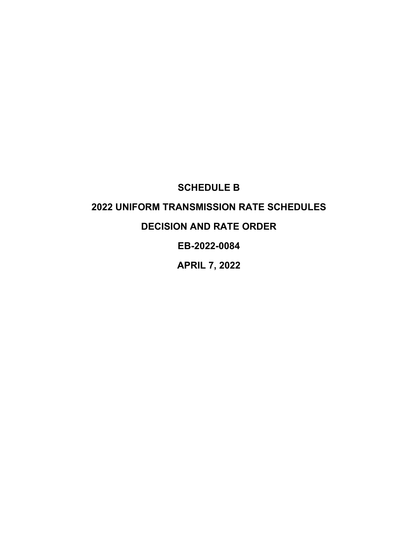## **SCHEDULE B**

## <span id="page-13-0"></span>**2022 UNIFORM TRANSMISSION RATE SCHEDULES**

## **DECISION AND RATE ORDER**

## **EB-2022-0084**

## **APRIL 7, 2022**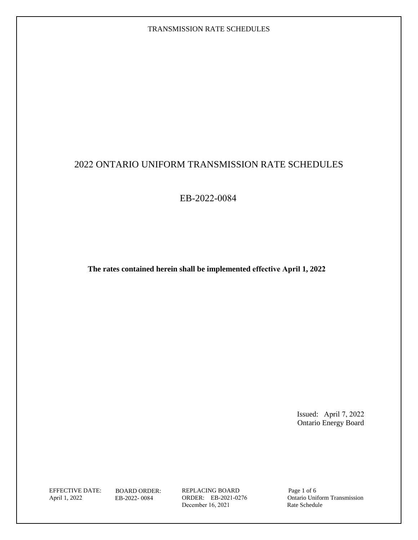## 2022 ONTARIO UNIFORM TRANSMISSION RATE SCHEDULES

EB-2022-0084

**The rates contained herein shall be implemented effective April 1, 2022**

Issued: April 7, 2022 Ontario Energy Board

April 1, 2022

EFFECTIVE DATE: BOARD ORDER: REPLACING BOARD Page 1 of 6 REPLACING BOARD ORDER: EB-2021-0276 December 16, 2021

EB-2022- 0084 ORDER: EB-2021-0276 Ontario Uniform Transmission<br>December 16, 2021 Rate Schedule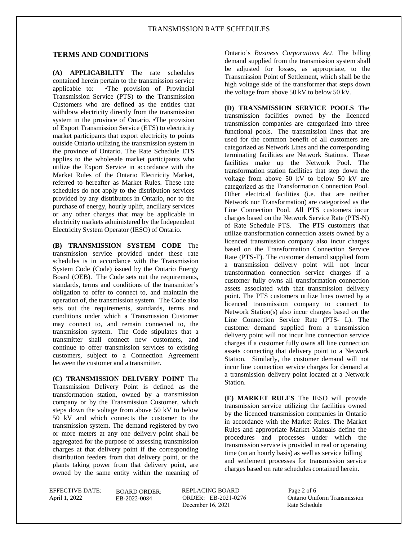## **TERMS AND CONDITIONS**

**(A) APPLICABILITY** The rate schedules contained herein pertain to the transmission service applicable to: •The provision of Provincial Transmission Service (PTS) to the Transmission Customers who are defined as the entities that withdraw electricity directly from the transmission system in the province of Ontario. •The provision of Export Transmission Service (ETS) to electricity market participants that export electricity to points outside Ontario utilizing the transmission system in the province of Ontario. The Rate Schedule ETS applies to the wholesale market participants who utilize the Export Service in accordance with the Market Rules of the Ontario Electricity Market, referred to hereafter as Market Rules. These rate schedules do not apply to the distribution services provided by any distributors in Ontario, nor to the purchase of energy, hourly uplift, ancillary services or any other charges that may be applicable in electricity markets administered by the Independent Electricity System Operator (IESO) of Ontario.

**(B) TRANSMISSION SYSTEM CODE** The transmission service provided under these rate schedules is in accordance with the Transmission System Code (Code) issued by the Ontario Energy Board (OEB). The Code sets out the requirements, standards, terms and conditions of the transmitter's obligation to offer to connect to, and maintain the operation of, the transmission system. The Code also sets out the requirements, standards, terms and conditions under which a Transmission Customer may connect to, and remain connected to, the transmission system. The Code stipulates that a transmitter shall connect new customers, and continue to offer transmission services to existing customers, subject to a Connection Agreement between the customer and a transmitter.

**(C) TRANSMISSION DELIVERY POINT** The Transmission Delivery Point is defined as the transformation station, owned by a transmission company or by the Transmission Customer, which steps down the voltage from above 50 kV to below 50 kV and which connects the customer to the transmission system. The demand registered by two or more meters at any one delivery point shall be aggregated for the purpose of assessing transmission charges at that delivery point if the corresponding distribution feeders from that delivery point, or the plants taking power from that delivery point, are owned by the same entity within the meaning of

Ontario's *Business Corporations Act*. The billing demand supplied from the transmission system shall be adjusted for losses, as appropriate, to the Transmission Point of Settlement, which shall be the high voltage side of the transformer that steps down the voltage from above 50 kV to below 50 kV.

**(D) TRANSMISSION SERVICE POOLS** The transmission facilities owned by the licenced transmission companies are categorized into three functional pools. The transmission lines that are used for the common benefit of all customers are categorized as Network Lines and the corresponding terminating facilities are Network Stations. These facilities make up the Network Pool. The transformation station facilities that step down the voltage from above 50 kV to below 50 kV are categorized as the Transformation Connection Pool. Other electrical facilities (i.e. that are neither Network nor Transformation) are categorized as the Line Connection Pool. All PTS customers incur charges based on the Network Service Rate (PTS-N) of Rate Schedule PTS. The PTS customers that utilize transformation connection assets owned by a licenced transmission company also incur charges based on the Transformation Connection Service Rate (PTS-T). The customer demand supplied from a transmission delivery point will not incur transformation connection service charges if a customer fully owns all transformation connection assets associated with that transmission delivery point. The PTS customers utilize lines owned by a licenced transmission company to connect to Network Station(s) also incur charges based on the Line Connection Service Rate (PTS- L). The customer demand supplied from a transmission delivery point will not incur line connection service charges if a customer fully owns all line connection assets connecting that delivery point to a Network Station. Similarly, the customer demand will not incur line connection service charges for demand at a transmission delivery point located at a Network Station.

**(E) MARKET RULES** The IESO will provide transmission service utilizing the facilities owned by the licenced transmission companies in Ontario in accordance with the Market Rules. The Market Rules and appropriate Market Manuals define the procedures and processes under which the transmission service is provided in real or operating time (on an hourly basis) as well as service billing and settlement processes for transmission service charges based on rate schedules contained herein.

April 1, 2022

BOARD ORDER: EB-2022-0084

EFFECTIVE DATE: BOARD ORDER: REPLACING BOARD Page 2 of 6 ORDER: EB-2021-0276 December 16, 2021 Rate Schedule

Ontario Uniform Transmission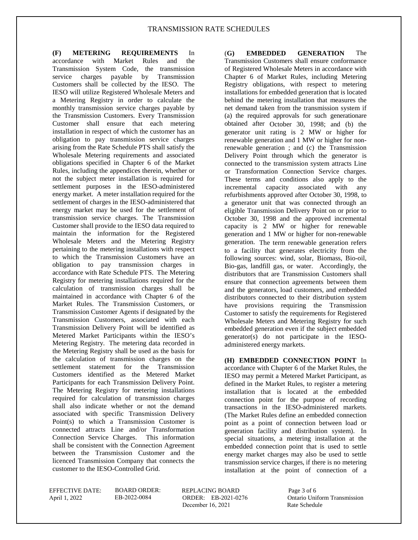**(F) METERING REQUIREMENTS** In accordance with Market Rules and the Transmission System Code, the transmission service charges payable by Transmission Customers shall be collected by the IESO. The IESO will utilize Registered Wholesale Meters and a Metering Registry in order to calculate the monthly transmission service charges payable by the Transmission Customers. Every Transmission Customer shall ensure that each metering installation in respect of which the customer has an obligation to pay transmission service charges arising from the Rate Schedule PTS shall satisfy the Wholesale Metering requirements and associated obligations specified in Chapter 6 of the Market Rules, including the appendices therein, whether or not the subject meter installation is required for settlement purposes in the IESO-administered energy market. A meter installation required for the settlement of charges in the IESO-administered that energy market may be used for the settlement of transmission service charges. The Transmission Customer shall provide to the IESO data required to maintain the information for the Registered Wholesale Meters and the Metering Registry pertaining to the metering installations with respect to which the Transmission Customers have an obligation to pay transmission charges in accordance with Rate Schedule PTS. The Metering Registry for metering installations required for the calculation of transmission charges shall be maintained in accordance with Chapter 6 of the Market Rules. The Transmission Customers, or Transmission Customer Agents if designated by the Transmission Customers, associated with each Transmission Delivery Point will be identified as Metered Market Participants within the IESO's Metering Registry. The metering data recorded in the Metering Registry shall be used as the basis for the calculation of transmission charges on the settlement statement for the Transmission Customers identified as the Metered Market Participants for each Transmission Delivery Point. The Metering Registry for metering installations required for calculation of transmission charges shall also indicate whether or not the demand associated with specific Transmission Delivery Point(s) to which a Transmission Customer is connected attracts Line and/or Transformation Connection Service Charges. This information shall be consistent with the Connection Agreement between the Transmission Customer and the licenced Transmission Company that connects the customer to the IESO-Controlled Grid.

(**G) EMBEDDED GENERATION** The Transmission Customers shall ensure conformance of Registered Wholesale Meters in accordance with Chapter 6 of Market Rules, including Metering Registry obligations, with respect to metering installations for embedded generation that is located behind the metering installation that measures the net demand taken from the transmission system if (a) the required approvals for such generationare obtained after October 30, 1998; and (b) the generator unit rating is 2 MW or higher for renewable generation and 1 MW or higher for nonrenewable generation ; and (c) the Transmission Delivery Point through which the generator is connected to the transmission system attracts Line or Transformation Connection Service charges. These terms and conditions also apply to the incremental capacity associated with any refurbishments approved after October 30, 1998, to a generator unit that was connected through an eligible Transmission Delivery Point on or prior to October 30, 1998 and the approved incremental capacity is 2 MW or higher for renewable generation and 1 MW or higher for non-renewable generation. The term renewable generation refers to a facility that generates electricity from the following sources: wind, solar, Biomass, Bio-oil, Bio-gas, landfill gas, or water. Accordingly, the distributors that are Transmission Customers shall ensure that connection agreements between them and the generators, load customers, and embedded distributors connected to their distribution system have provisions requiring the Transmission Customer to satisfy the requirements for Registered Wholesale Meters and Metering Registry for such embedded generation even if the subject embedded generator(s) do not participate in the IESOadministered energy markets.

**(H) EMBEDDED CONNECTION POINT** In accordance with Chapter 6 of the Market Rules, the IESO may permit a Metered Market Participant, as defined in the Market Rules, to register a metering installation that is located at the embedded connection point for the purpose of recording transactions in the IESO-administered markets. (The Market Rules define an embedded connection point as a point of connection between load or generation facility and distribution system). In special situations, a metering installation at the embedded connection point that is used to settle energy market charges may also be used to settle transmission service charges, if there is no metering installation at the point of connection of a

April 1, 2022

BOARD ORDER:

EFFECTIVE DATE: BOARD ORDER: REPLACING BOARD Page 3 of 6 ORDER: EB-2021-0276 December 16, 2021 Rate Schedule

EB-2022-0084 Ontario Uniform Transmission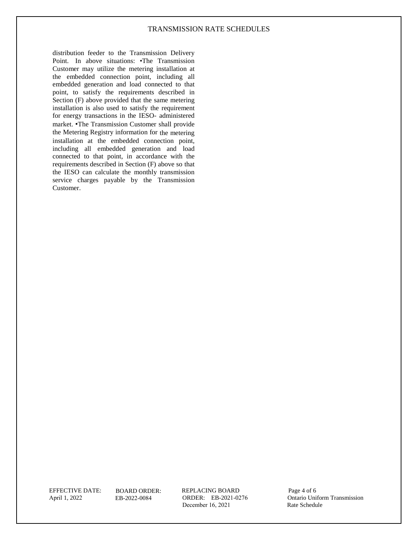distribution feeder to the Transmission Delivery Point. In above situations: •The Transmission Customer may utilize the metering installation at the embedded connection point, including all embedded generation and load connected to that point, to satisfy the requirements described in Section (F) above provided that the same metering installation is also used to satisfy the requirement for energy transactions in the IESO- administered market. •The Transmission Customer shall provide the Metering Registry information for the metering installation at the embedded connection point, including all embedded generation and load connected to that point, in accordance with the requirements described in Section (F) above so that the IESO can calculate the monthly transmission service charges payable by the Transmission Customer.

April 1, 2022

BOARD ORDER:

EFFECTIVE DATE: BOARD ORDER: REPLACING BOARD Page 4 of 6 ORDER: EB-2021-0276 December 16, 2021

EB-2022-0084 ORDER: EB-2021-0276 Ontario Uniform Transmission<br>December 16, 2021 Rate Schedule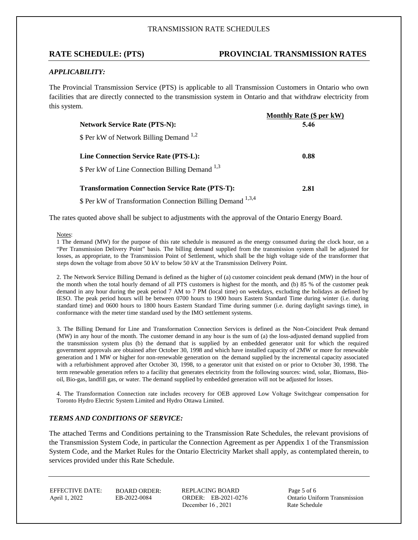### **RATE SCHEDULE: (PTS) PROVINCIAL TRANSMISSION RATES**

#### *APPLICABILITY:*

The Provincial Transmission Service (PTS) is applicable to all Transmission Customers in Ontario who own facilities that are directly connected to the transmission system in Ontario and that withdraw electricity from this system.

|                                                             | Monthly Rate (\$ per kW) |
|-------------------------------------------------------------|--------------------------|
| <b>Network Service Rate (PTS-N):</b>                        | 5.46                     |
| \$ Per kW of Network Billing Demand <sup>1,2</sup>          |                          |
| Line Connection Service Rate (PTS-L):                       | 0.88                     |
| \$ Per kW of Line Connection Billing Demand <sup>1,3</sup>  |                          |
| <b>Transformation Connection Service Rate (PTS-T):</b>      | 2.81                     |
| \$ Per kW of Transformation Connection Billing Demand 1,3,4 |                          |

The rates quoted above shall be subject to adjustments with the approval of the Ontario Energy Board.

Notes:

1 The demand (MW) for the purpose of this rate schedule is measured as the energy consumed during the clock hour, on a "Per Transmission Delivery Point" basis. The billing demand supplied from the transmission system shall be adjusted for losses, as appropriate, to the Transmission Point of Settlement, which shall be the high voltage side of the transformer that steps down the voltage from above 50 kV to below 50 kV at the Transmission Delivery Point.

2. The Network Service Billing Demand is defined as the higher of (a) customer coincident peak demand (MW) in the hour of the month when the total hourly demand of all PTS customers is highest for the month, and (b) 85 % of the customer peak demand in any hour during the peak period 7 AM to 7 PM (local time) on weekdays, excluding the holidays as defined by IESO. The peak period hours will be between 0700 hours to 1900 hours Eastern Standard Time during winter (i.e. during standard time) and 0600 hours to 1800 hours Eastern Standard Time during summer (i.e. during daylight savings time), in conformance with the meter time standard used by the IMO settlement systems.

3. The Billing Demand for Line and Transformation Connection Services is defined as the Non-Coincident Peak demand (MW) in any hour of the month. The customer demand in any hour is the sum of (a) the loss-adjusted demand supplied from the transmission system plus (b) the demand that is supplied by an embedded generator unit for which the required government approvals are obtained after October 30, 1998 and which have installed capacity of 2MW or more for renewable generation and 1 MW or higher for non-renewable generation on the demand supplied by the incremental capacity associated with a refurbishment approved after October 30, 1998, to a generator unit that existed on or prior to October 30, 1998. The term renewable generation refers to a facility that generates electricity from the following sources: wind, solar, Biomass, Biooil, Bio-gas, landfill gas, or water. The demand supplied by embedded generation will not be adjusted for losses.

4. The Transformation Connection rate includes recovery for OEB approved Low Voltage Switchgear compensation for Toronto Hydro Electric System Limited and Hydro Ottawa Limited.

#### *TERMS AND CONDITIONS OF SERVICE:*

The attached Terms and Conditions pertaining to the Transmission Rate Schedules, the relevant provisions of the Transmission System Code, in particular the Connection Agreement as per Appendix 1 of the Transmission System Code, and the Market Rules for the Ontario Electricity Market shall apply, as contemplated therein, to services provided under this Rate Schedule.

April 1, 2022

BOARD ORDER:

EFFECTIVE DATE: BOARD ORDER: REPLACING BOARD Page 5 of 6 ORDER: EB-2021-0276 December  $16$ ,  $2021$ 

EB-2022-0084 ORDER: EB-2021-0276 Ontario Uniform Transmission<br>December 16, 2021 Rate Schedule